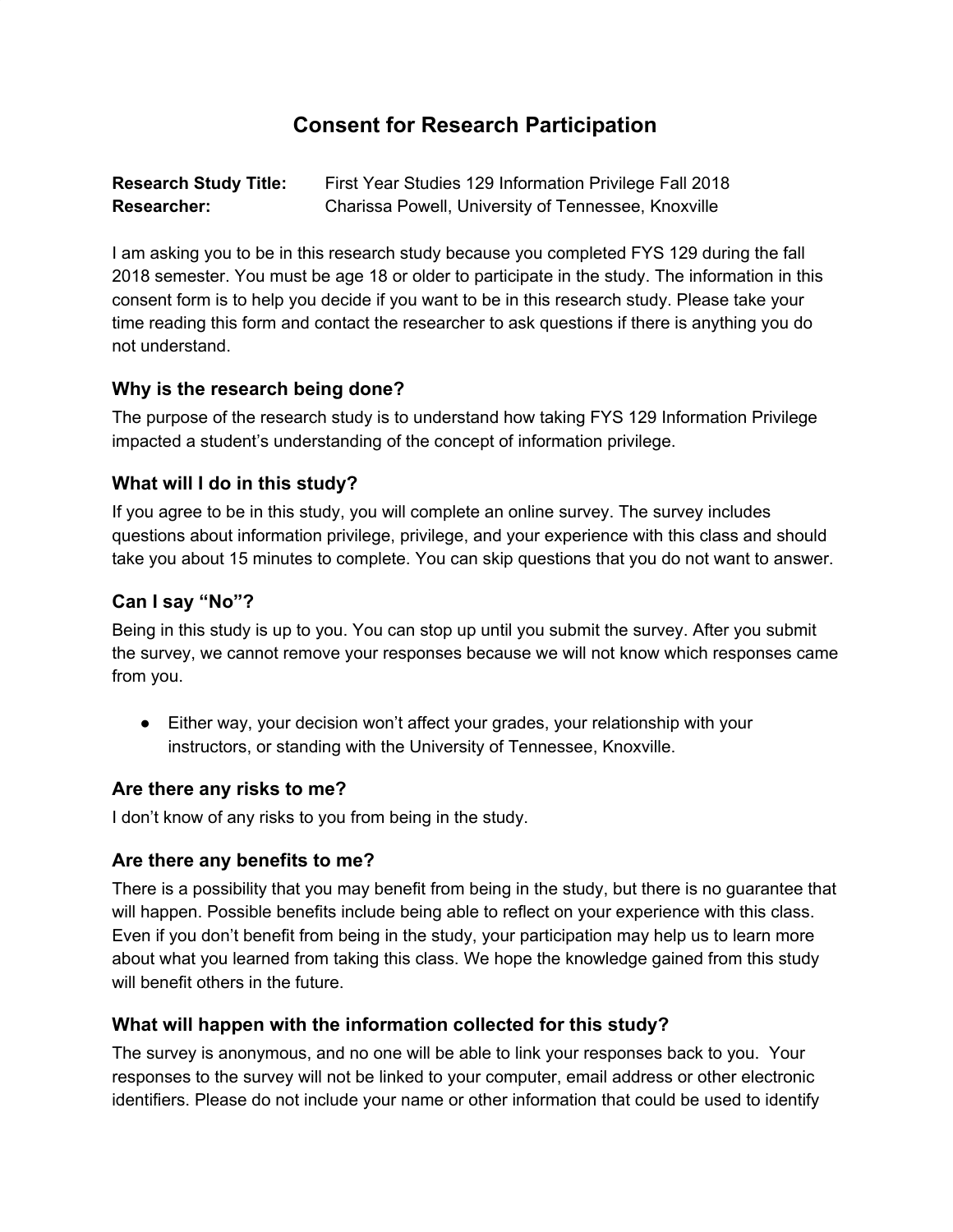# **Consent for Research Participation**

**Research Study Title:** First Year Studies 129 Information Privilege Fall 2018 **Researcher:** Charissa Powell, University of Tennessee, Knoxville

I am asking you to be in this research study because you completed FYS 129 during the fall 2018 semester. You must be age 18 or older to participate in the study. The information in this consent form is to help you decide if you want to be in this research study. Please take your time reading this form and contact the researcher to ask questions if there is anything you do not understand.

#### **Why is the research being done?**

The purpose of the research study is to understand how taking FYS 129 Information Privilege impacted a student's understanding of the concept of information privilege.

# **What will I do in this study?**

If you agree to be in this study, you will complete an online survey. The survey includes questions about information privilege, privilege, and your experience with this class and should take you about 15 minutes to complete. You can skip questions that you do not want to answer.

# **Can I say "No"?**

Being in this study is up to you. You can stop up until you submit the survey. After you submit the survey, we cannot remove your responses because we will not know which responses came from you.

● Either way, your decision won't affect your grades, your relationship with your instructors, or standing with the University of Tennessee, Knoxville.

#### **Are there any risks to me?**

I don't know of any risks to you from being in the study.

#### **Are there any benefits to me?**

There is a possibility that you may benefit from being in the study, but there is no guarantee that will happen. Possible benefits include being able to reflect on your experience with this class. Even if you don't benefit from being in the study, your participation may help us to learn more about what you learned from taking this class. We hope the knowledge gained from this study will benefit others in the future.

#### **What will happen with the information collected for this study?**

The survey is anonymous, and no one will be able to link your responses back to you. Your responses to the survey will not be linked to your computer, email address or other electronic identifiers. Please do not include your name or other information that could be used to identify